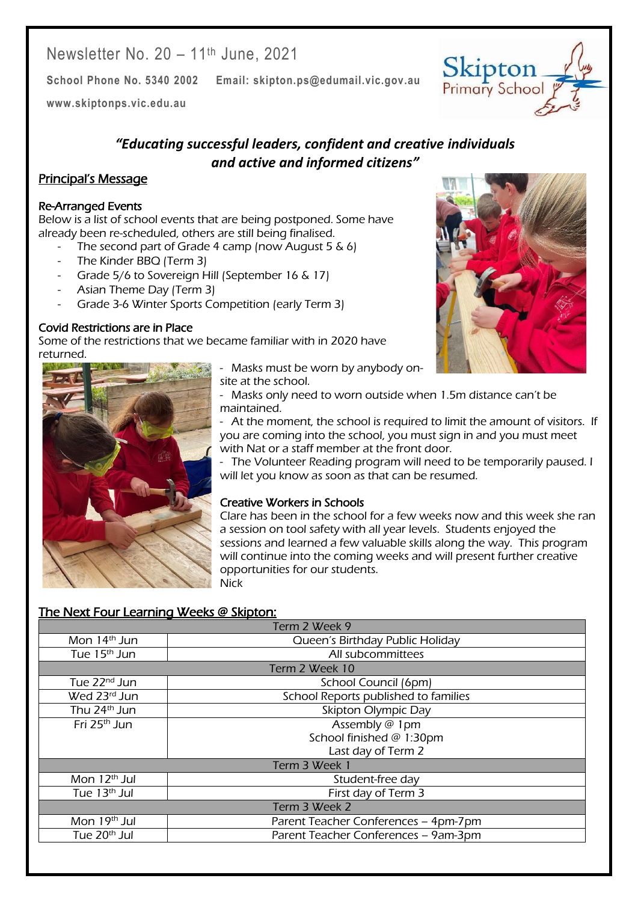Newsletter No. 20 – 11th June, 2021

**School Phone No. 5340 2002 Email: skipton.ps@edumail.vic.gov.au**

**[www.skiptonps.vic.edu.au](http://www.skiptonps.vic.edu.au/)**

*"Educating successful leaders, confident and creative individuals and active and informed citizens"*

#### Principal's Message

#### Re-Arranged Events

Below is a list of school events that are being postponed. Some have already been re-scheduled, others are still being finalised.

- The second part of Grade 4 camp (now August 5  $\&$  6)
- The Kinder BBQ (Term 3)
- Grade 5/6 to Sovereign Hill (September 16 & 17)
- Asian Theme Day (Term 3)
- Grade 3-6 Winter Sports Competition (early Term 3)

#### Covid Restrictions are in Place

Some of the restrictions that we became familiar with in 2020 have returned.



- Masks must be worn by anybody on-
- site at the school. - Masks only need to worn outside when 1.5m distance can't be maintained.

- At the moment, the school is required to limit the amount of visitors. If you are coming into the school, you must sign in and you must meet with Nat or a staff member at the front door.

- The Volunteer Reading program will need to be temporarily paused. I will let you know as soon as that can be resumed.

#### Creative Workers in Schools

Clare has been in the school for a few weeks now and this week she ran a session on tool safety with all year levels. Students enjoyed the sessions and learned a few valuable skills along the way. This program will continue into the coming weeks and will present further creative opportunities for our students. Nick

| Term 2 Week 9            |                                      |
|--------------------------|--------------------------------------|
| Mon 14 <sup>th</sup> Jun | Queen's Birthday Public Holiday      |
| Tue 15 <sup>th</sup> Jun | All subcommittees                    |
| Term 2 Week 10           |                                      |
| Tue 22 <sup>nd</sup> Jun | School Council (6pm)                 |
| Wed 23rd Jun             | School Reports published to families |
| Thu 24 <sup>th</sup> Jun | Skipton Olympic Day                  |
| Fri 25 <sup>th</sup> Jun | Assembly @ 1pm                       |
|                          | School finished @ 1:30pm             |
|                          | Last day of Term 2                   |
| Term 3 Week 1            |                                      |
| Mon 12 <sup>th</sup> Jul | Student-free day                     |
| Tue 13 <sup>th</sup> Jul | First day of Term 3                  |
| Term 3 Week 2            |                                      |
| Mon 19 <sup>th</sup> Jul | Parent Teacher Conferences - 4pm-7pm |
| Tue 20 <sup>th</sup> Jul | Parent Teacher Conferences - 9am-3pm |
|                          |                                      |

## The Next Four Learning Weeks @ Skipton:



Centacare South West